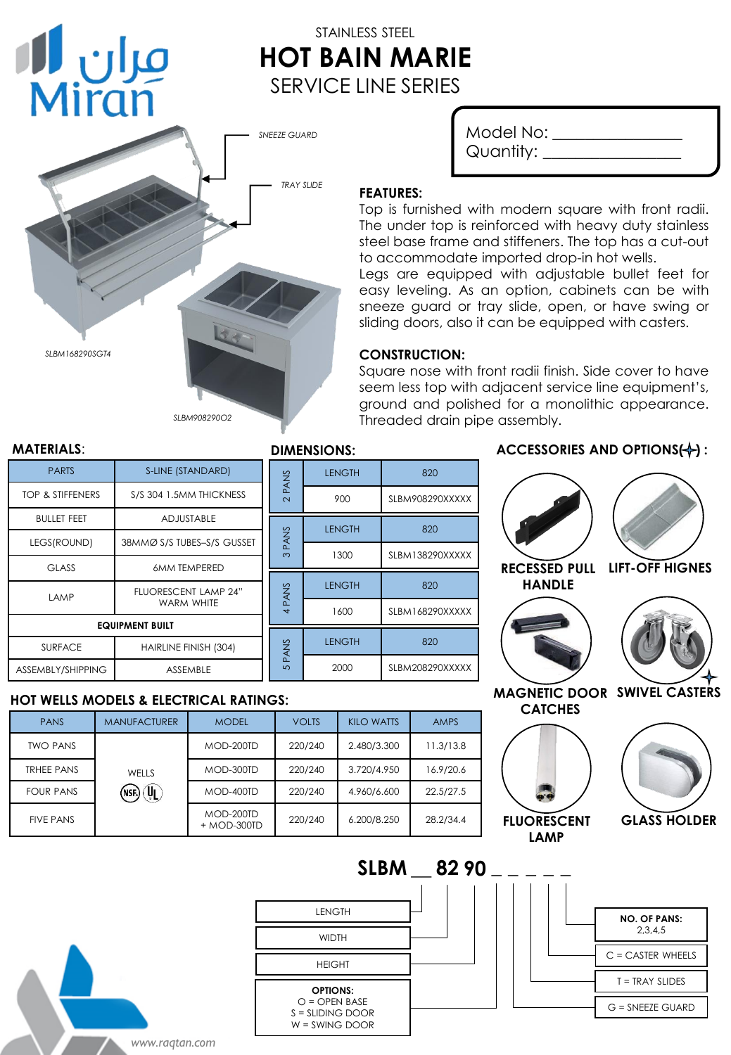# STAINLESS STEEL **HOT BAIN MARIE** SERVICE LINE SERIES

*SNEEZE GUARD*



| Model No: |  |
|-----------|--|
| Quantity: |  |

#### **FEATURES:**

Top is furnished with modern square with front radii. The under top is reinforced with heavy duty stainless steel base frame and stiffeners. The top has a cut-out to accommodate imported drop-in hot wells.

Legs are equipped with adjustable bullet feet for easy leveling. As an option, cabinets can be with sneeze guard or tray slide, open, or have swing or sliding doors, also it can be equipped with casters.

### **CONSTRUCTION:**

 $I$  FNGTH  $\overline{1}$  820

LENGTH 820

LENGTH 820

LENGTH 820

**WIDTH** 

LENGTH

HEIGHT

**OPTIONS:**  $O =$  OPEN BASE S = SLIDING DOOR W = SWING DOOR

900 SLBM908290XXXXX

1300 | SLBM138290XXXXX

1600 | SLBM168290XXXXX

2000 SLBM208290XXXXX

Square nose with front radii finish. Side cover to have seem less top with adjacent service line equipment's, ground and polished for a monolithic appearance. Threaded drain pipe assembly.

#### **MATERIALS**: **DIMENSIONS:**

مران **ال**ا<br>Miran

| <b>PARTS</b>                | S-LINE (STANDARD)                  |        |             |
|-----------------------------|------------------------------------|--------|-------------|
| <b>TOP &amp; STIFFENERS</b> | S/S 304 1.5MM THICKNESS            | 2 PANS |             |
| <b>BULLET FEET</b>          | <b>ADJUSTABLE</b>                  |        |             |
| LEGS(ROUND)                 | 38MMØ S/S TUBES-S/S GUSSET         |        | PANS<br>ო   |
| <b>GLASS</b>                | <b>6MM TEMPERED</b>                |        |             |
| LAMP                        | FLUORESCENT LAMP 24"<br>WARM WHITE |        | <b>PANS</b> |
| <b>EQUIPMENT BUILT</b>      |                                    |        |             |
| <b>SURFACE</b>              | HAIRLINE FINISH (304)              |        | PANS        |
| ASSEMBLY/SHIPPING           | <b>ASSEMBLE</b>                    |        | 5           |

### **HOT WELLS MODELS & ELECTRICAL RATINGS:**

| <b>PANS</b>       | <b>MANUFACTURER</b>                          | <b>MODEL</b>             | <b>VOLTS</b> | <b>KILO WATTS</b> | <b>AMPS</b> |
|-------------------|----------------------------------------------|--------------------------|--------------|-------------------|-------------|
| <b>TWO PANS</b>   | WELLS<br>$\mathcal{A}_{\mathbf{L}}$<br>(NSE) | MOD-200TD                | 220/240      | 2.480/3.300       | 11.3/13.8   |
| <b>TRHEE PANS</b> |                                              | MOD-300TD                | 220/240      | 3.720/4.950       | 16.9/20.6   |
| <b>FOUR PANS</b>  |                                              | MOD-400TD                | 220/240      | 4.960/6.600       | 22.5/27.5   |
| <b>FIVE PANS</b>  |                                              | MOD-200TD<br>+ MOD-300TD | 220/240      | 6.200/8.250       | 28.2/34.4   |

### ACCESSORIES AND OPTIONS(+):



G = SNEEZE GUARD

*www.raqtan.com*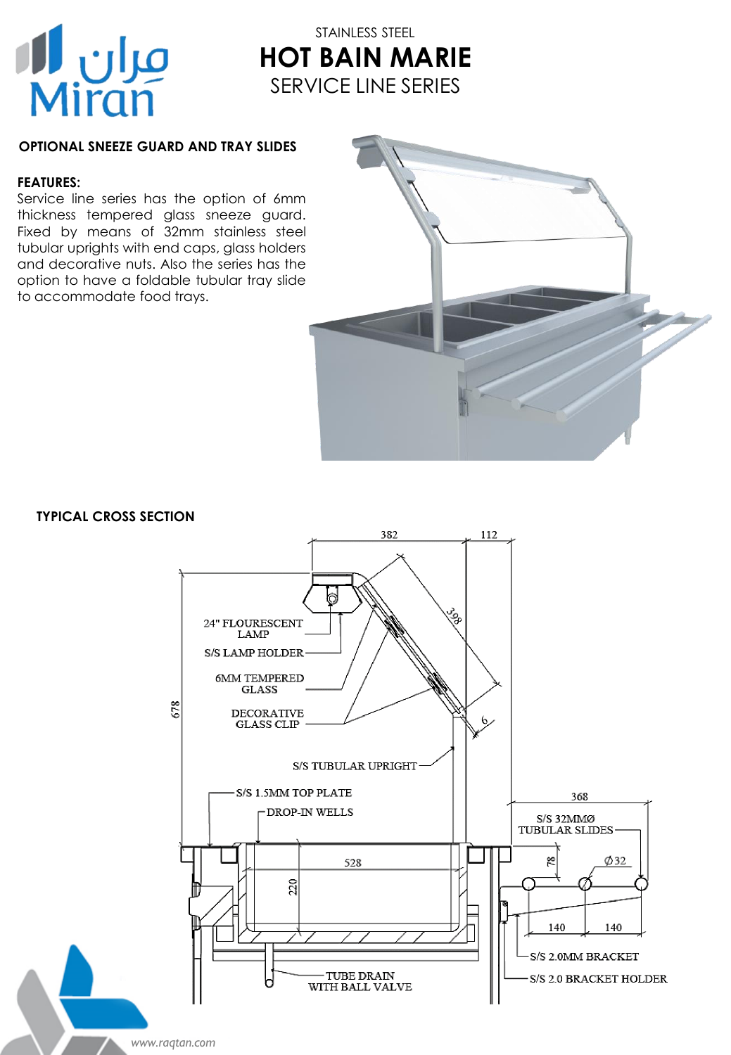

## STAINLESS STEEL **HOT BAIN MARIE** SERVICE LINE SERIES

### **OPTIONAL SNEEZE GUARD AND TRAY SLIDES**

### **FEATURES:**

Service line series has the option of 6mm thickness tempered glass sneeze guard. Fixed by means of 32mm stainless steel tubular uprights with end caps, glass holders and decorative nuts. Also the series has the option to have a foldable tubular tray slide to accommodate food trays.



### **TYPICAL CROSS SECTION**